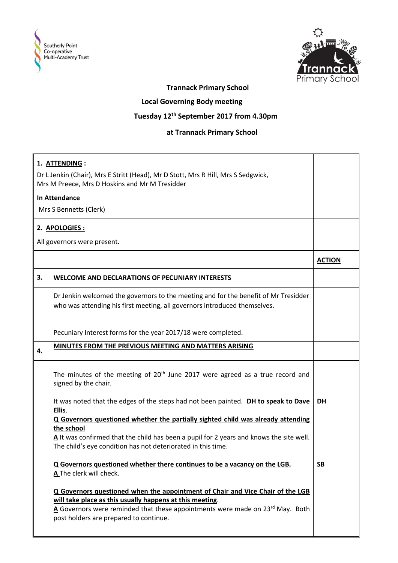



## **Trannack Primary School**

## **Local Governing Body meeting**

## **Tuesday 12th September 2017 from 4.30pm**

## **at Trannack Primary School**

|                                                                                   | 1. ATTENDING:                                                                                                                                                                                                                                                         |               |
|-----------------------------------------------------------------------------------|-----------------------------------------------------------------------------------------------------------------------------------------------------------------------------------------------------------------------------------------------------------------------|---------------|
| Dr L Jenkin (Chair), Mrs E Stritt (Head), Mr D Stott, Mrs R Hill, Mrs S Sedgwick, |                                                                                                                                                                                                                                                                       |               |
| Mrs M Preece, Mrs D Hoskins and Mr M Tresidder                                    |                                                                                                                                                                                                                                                                       |               |
|                                                                                   | <b>In Attendance</b>                                                                                                                                                                                                                                                  |               |
|                                                                                   | Mrs S Bennetts (Clerk)                                                                                                                                                                                                                                                |               |
|                                                                                   | 2. APOLOGIES:                                                                                                                                                                                                                                                         |               |
| All governors were present.                                                       |                                                                                                                                                                                                                                                                       |               |
|                                                                                   |                                                                                                                                                                                                                                                                       | <b>ACTION</b> |
| 3.                                                                                | <b>WELCOME AND DECLARATIONS OF PECUNIARY INTERESTS</b>                                                                                                                                                                                                                |               |
|                                                                                   | Dr Jenkin welcomed the governors to the meeting and for the benefit of Mr Tresidder<br>who was attending his first meeting, all governors introduced themselves.                                                                                                      |               |
|                                                                                   | Pecuniary Interest forms for the year 2017/18 were completed.                                                                                                                                                                                                         |               |
| 4.                                                                                | MINUTES FROM THE PREVIOUS MEETING AND MATTERS ARISING                                                                                                                                                                                                                 |               |
|                                                                                   | The minutes of the meeting of $20th$ June 2017 were agreed as a true record and<br>signed by the chair.                                                                                                                                                               |               |
|                                                                                   | It was noted that the edges of the steps had not been painted. DH to speak to Dave<br>Ellis.                                                                                                                                                                          | <b>DH</b>     |
|                                                                                   | Q Governors questioned whether the partially sighted child was already attending                                                                                                                                                                                      |               |
|                                                                                   | the school                                                                                                                                                                                                                                                            |               |
|                                                                                   | A It was confirmed that the child has been a pupil for 2 years and knows the site well.<br>The child's eye condition has not deteriorated in this time.                                                                                                               |               |
|                                                                                   | Q Governors questioned whether there continues to be a vacancy on the LGB.<br>A The clerk will check.                                                                                                                                                                 | <b>SB</b>     |
|                                                                                   | Q Governors questioned when the appointment of Chair and Vice Chair of the LGB<br>will take place as this usually happens at this meeting.<br>A Governors were reminded that these appointments were made on 23rd May. Both<br>post holders are prepared to continue. |               |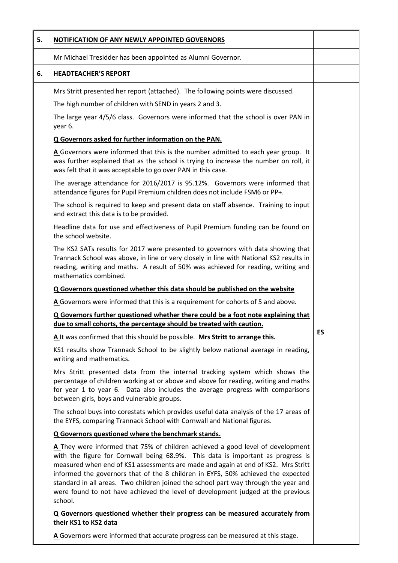| 5. | NOTIFICATION OF ANY NEWLY APPOINTED GOVERNORS                                                                                                                                                                                                                                                                                                                                                                                                                                                                                   |    |
|----|---------------------------------------------------------------------------------------------------------------------------------------------------------------------------------------------------------------------------------------------------------------------------------------------------------------------------------------------------------------------------------------------------------------------------------------------------------------------------------------------------------------------------------|----|
|    | Mr Michael Tresidder has been appointed as Alumni Governor.                                                                                                                                                                                                                                                                                                                                                                                                                                                                     |    |
| 6. | <b>HEADTEACHER'S REPORT</b>                                                                                                                                                                                                                                                                                                                                                                                                                                                                                                     |    |
|    | Mrs Stritt presented her report (attached). The following points were discussed.                                                                                                                                                                                                                                                                                                                                                                                                                                                |    |
|    | The high number of children with SEND in years 2 and 3.                                                                                                                                                                                                                                                                                                                                                                                                                                                                         |    |
|    | The large year 4/5/6 class. Governors were informed that the school is over PAN in<br>year 6.                                                                                                                                                                                                                                                                                                                                                                                                                                   |    |
|    | Q Governors asked for further information on the PAN.                                                                                                                                                                                                                                                                                                                                                                                                                                                                           |    |
|    | A Governors were informed that this is the number admitted to each year group. It<br>was further explained that as the school is trying to increase the number on roll, it<br>was felt that it was acceptable to go over PAN in this case.                                                                                                                                                                                                                                                                                      |    |
|    | The average attendance for 2016/2017 is 95.12%. Governors were informed that<br>attendance figures for Pupil Premium children does not include FSM6 or PP+.                                                                                                                                                                                                                                                                                                                                                                     |    |
|    | The school is required to keep and present data on staff absence. Training to input<br>and extract this data is to be provided.                                                                                                                                                                                                                                                                                                                                                                                                 |    |
|    | Headline data for use and effectiveness of Pupil Premium funding can be found on<br>the school website.                                                                                                                                                                                                                                                                                                                                                                                                                         |    |
|    | The KS2 SATs results for 2017 were presented to governors with data showing that<br>Trannack School was above, in line or very closely in line with National KS2 results in<br>reading, writing and maths. A result of 50% was achieved for reading, writing and<br>mathematics combined.                                                                                                                                                                                                                                       |    |
|    | Q Governors questioned whether this data should be published on the website                                                                                                                                                                                                                                                                                                                                                                                                                                                     |    |
|    | A Governors were informed that this is a requirement for cohorts of 5 and above.                                                                                                                                                                                                                                                                                                                                                                                                                                                |    |
|    | Q Governors further questioned whether there could be a foot note explaining that<br>due to small cohorts, the percentage should be treated with caution.                                                                                                                                                                                                                                                                                                                                                                       |    |
|    | A It was confirmed that this should be possible. Mrs Stritt to arrange this.                                                                                                                                                                                                                                                                                                                                                                                                                                                    | ES |
|    | KS1 results show Trannack School to be slightly below national average in reading,<br>writing and mathematics.                                                                                                                                                                                                                                                                                                                                                                                                                  |    |
|    | Mrs Stritt presented data from the internal tracking system which shows the<br>percentage of children working at or above and above for reading, writing and maths<br>for year 1 to year 6. Data also includes the average progress with comparisons<br>between girls, boys and vulnerable groups.                                                                                                                                                                                                                              |    |
|    | The school buys into corestats which provides useful data analysis of the 17 areas of<br>the EYFS, comparing Trannack School with Cornwall and National figures.                                                                                                                                                                                                                                                                                                                                                                |    |
|    | Q Governors questioned where the benchmark stands.                                                                                                                                                                                                                                                                                                                                                                                                                                                                              |    |
|    | A They were informed that 75% of children achieved a good level of development<br>with the figure for Cornwall being 68.9%. This data is important as progress is<br>measured when end of KS1 assessments are made and again at end of KS2. Mrs Stritt<br>informed the governors that of the 8 children in EYFS, 50% achieved the expected<br>standard in all areas. Two children joined the school part way through the year and<br>were found to not have achieved the level of development judged at the previous<br>school. |    |
|    | Q Governors questioned whether their progress can be measured accurately from<br>their KS1 to KS2 data                                                                                                                                                                                                                                                                                                                                                                                                                          |    |
|    | A Governors were informed that accurate progress can be measured at this stage.                                                                                                                                                                                                                                                                                                                                                                                                                                                 |    |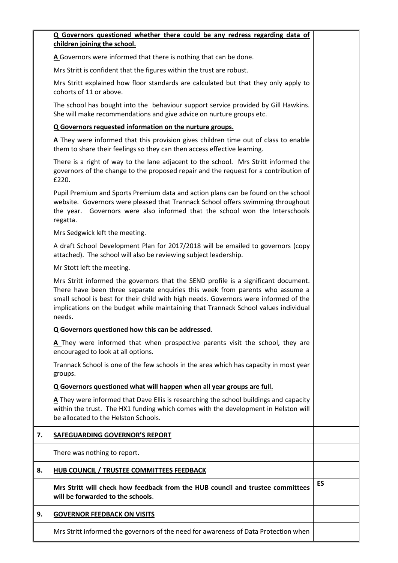|    | Q Governors questioned whether there could be any redress regarding data of<br>children joining the school.                                                                                                                                                                                                                                                 |           |
|----|-------------------------------------------------------------------------------------------------------------------------------------------------------------------------------------------------------------------------------------------------------------------------------------------------------------------------------------------------------------|-----------|
|    | A Governors were informed that there is nothing that can be done.                                                                                                                                                                                                                                                                                           |           |
|    | Mrs Stritt is confident that the figures within the trust are robust.                                                                                                                                                                                                                                                                                       |           |
|    | Mrs Stritt explained how floor standards are calculated but that they only apply to<br>cohorts of 11 or above.                                                                                                                                                                                                                                              |           |
|    | The school has bought into the behaviour support service provided by Gill Hawkins.<br>She will make recommendations and give advice on nurture groups etc.                                                                                                                                                                                                  |           |
|    | Q Governors requested information on the nurture groups.                                                                                                                                                                                                                                                                                                    |           |
|    | A They were informed that this provision gives children time out of class to enable<br>them to share their feelings so they can then access effective learning.                                                                                                                                                                                             |           |
|    | There is a right of way to the lane adjacent to the school. Mrs Stritt informed the<br>governors of the change to the proposed repair and the request for a contribution of<br>£220.                                                                                                                                                                        |           |
|    | Pupil Premium and Sports Premium data and action plans can be found on the school<br>website. Governors were pleased that Trannack School offers swimming throughout<br>Governors were also informed that the school won the Interschools<br>the year.<br>regatta.                                                                                          |           |
|    | Mrs Sedgwick left the meeting.                                                                                                                                                                                                                                                                                                                              |           |
|    | A draft School Development Plan for 2017/2018 will be emailed to governors (copy<br>attached). The school will also be reviewing subject leadership.                                                                                                                                                                                                        |           |
|    | Mr Stott left the meeting.                                                                                                                                                                                                                                                                                                                                  |           |
|    | Mrs Stritt informed the governors that the SEND profile is a significant document.<br>There have been three separate enquiries this week from parents who assume a<br>small school is best for their child with high needs. Governors were informed of the<br>implications on the budget while maintaining that Trannack School values individual<br>needs. |           |
|    | Q Governors questioned how this can be addressed.                                                                                                                                                                                                                                                                                                           |           |
|    | A They were informed that when prospective parents visit the school, they are<br>encouraged to look at all options.                                                                                                                                                                                                                                         |           |
|    | Trannack School is one of the few schools in the area which has capacity in most year<br>groups.                                                                                                                                                                                                                                                            |           |
|    | Q Governors questioned what will happen when all year groups are full.                                                                                                                                                                                                                                                                                      |           |
|    | A They were informed that Dave Ellis is researching the school buildings and capacity<br>within the trust. The HX1 funding which comes with the development in Helston will<br>be allocated to the Helston Schools.                                                                                                                                         |           |
| 7. | <b>SAFEGUARDING GOVERNOR'S REPORT</b>                                                                                                                                                                                                                                                                                                                       |           |
|    | There was nothing to report.                                                                                                                                                                                                                                                                                                                                |           |
| 8. | HUB COUNCIL / TRUSTEE COMMITTEES FEEDBACK                                                                                                                                                                                                                                                                                                                   |           |
|    | Mrs Stritt will check how feedback from the HUB council and trustee committees<br>will be forwarded to the schools.                                                                                                                                                                                                                                         | <b>ES</b> |
| 9. | <b>GOVERNOR FEEDBACK ON VISITS</b>                                                                                                                                                                                                                                                                                                                          |           |
|    | Mrs Stritt informed the governors of the need for awareness of Data Protection when                                                                                                                                                                                                                                                                         |           |